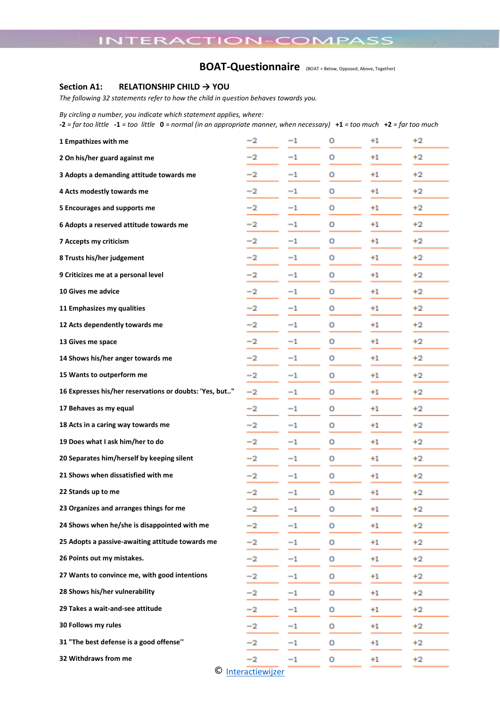# **BOAT-Questionnaire** (BOAT = Below, Opposed, Above, Together)

### **Section A1: RELATIONSHIP CHILD → YOU**

*The following 32 statements refer to how the child in question behaves towards you.*

*By circling a number, you indicate which statement applies, where:* 

**-2** *= far too little* **-1** *= too little* **0** *= normal (in an appropriate manner, when necessary)* **+1** *= too much* **+2** *= far too much*

| 1 Empathizes with me                                    | $^{-2}$ | $^{-1}$     | 0 | $+1$ | $+2$    |  |
|---------------------------------------------------------|---------|-------------|---|------|---------|--|
| 2 On his/her guard against me                           | $-2$    | $^{-1}$     | о | $+1$ | $+2$    |  |
| 3 Adopts a demanding attitude towards me                | -2      | $^{-1}$     | о | $+1$ |         |  |
| 4 Acts modestly towards me                              | -2      | $^{-1}$     | о | $+1$ | $+2$    |  |
| 5 Encourages and supports me                            | $-2$    | $^{-1}$     | о | $+2$ |         |  |
| 6 Adopts a reserved attitude towards me                 | $^{-2}$ | $^{-1}$     | о | $+1$ | $+2$    |  |
| 7 Accepts my criticism                                  | $^{-2}$ | $^{-1}$     | 0 | $+1$ | $+2$    |  |
| 8 Trusts his/her judgement                              | $-2$    | $^{-1}$     | о | $+1$ | $+2$    |  |
| 9 Criticizes me at a personal level                     | -2      | -1          | о | $+1$ | +2      |  |
| 10 Gives me advice                                      | $-2$    | $^{-1}$     | 0 | $+1$ | $+2$    |  |
| 11 Emphasizes my qualities                              | $^{-2}$ | $^{-1}$     | о | $+1$ | $+2$    |  |
| 12 Acts dependently towards me                          | $^{-2}$ | $^{-1}$     | о | $+1$ | $+2$    |  |
| 13 Gives me space                                       | $^{-2}$ | $^{-1}$     | о | $+1$ | $+2$    |  |
| 14 Shows his/her anger towards me                       | $^{-2}$ | $^{-1}$     | о | $+1$ | $+2$    |  |
| 15 Wants to outperform me                               | -2      | $^{-1}$     | о | $+1$ | $+2$    |  |
| 16 Expresses his/her reservations or doubts: 'Yes, but" | -2      | $^{-1}$     | о | $+1$ | $^{+2}$ |  |
| 17 Behaves as my equal                                  | $^{-2}$ | $^{-1}$     | о | $+1$ | $+2$    |  |
| 18 Acts in a caring way towards me                      | $^{-2}$ | $^{-1}$     | о | $+1$ | $+2$    |  |
| 19 Does what I ask him/her to do                        | -2      | $^{-1}$     | о | $+1$ | $+2$    |  |
| 20 Separates him/herself by keeping silent              | $-2$    | $^{-1}$     | о | $+1$ | $+2$    |  |
| 21 Shows when dissatisfied with me                      | -2      | $^{-1}$     | о | $+1$ | $+2$    |  |
| 22 Stands up to me                                      | -2      | $^{-1}$     | о | $+1$ | $+2$    |  |
| 23 Organizes and arranges things for me                 | $^{-2}$ | $^{-1}$     | о | $+1$ | $+2$    |  |
| 24 Shows when he/she is disappointed with me            | -2      | $^{-1}$     | о | $+1$ | $+2$    |  |
| 25 Adopts a passive-awaiting attitude towards me        | -2      | -1          | о | $+1$ | $+2$    |  |
| 26 Points out my mistakes.                              | -2      | $^{-1}$     | o | $+1$ | $+2$    |  |
| 27 Wants to convince me, with good intentions           | $^{-2}$ | $^{-1}$     | о | $+1$ | $+2$    |  |
| 28 Shows his/her vulnerability                          | -2      | -1          | о | $+1$ | $+2$    |  |
| 29 Takes a wait-and-see attitude                        | -2      | $^{-1}$     | о | $+1$ | $+2$    |  |
| 30 Follows my rules                                     | $^{-2}$ | $^{-1}$     | о | $+1$ | $+2$    |  |
| 31 "The best defense is a good offense"                 | -2      | $^{-1}$     | о | $+1$ | $+2$    |  |
| 32 Withdraws from me                                    | $^{-2}$ | $^{\rm -1}$ | o | $+1$ | $+2$    |  |
| © Interactiewijzer                                      |         |             |   |      |         |  |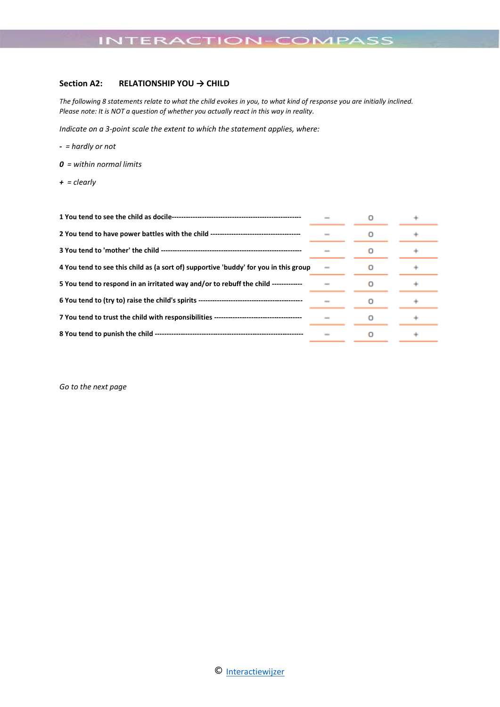## **Section A2: RELATIONSHIP YOU → CHILD**

*The following 8 statements relate to what the child evokes in you, to what kind of response you are initially inclined. Please note: It is NOT a question of whether you actually react in this way in reality.*

*Indicate on a 3-point scale the extent to which the statement applies, where:*

- *- = hardly or not*
- *0 = within normal limits*
- *+ = clearly*

| 4 You tend to see this child as (a sort of) supportive 'buddy' for you in this group    |  |  |
|-----------------------------------------------------------------------------------------|--|--|
| 5 You tend to respond in an irritated way and/or to rebuff the child ------------       |  |  |
|                                                                                         |  |  |
| 7 You tend to trust the child with responsibilities ----------------------------------- |  |  |
|                                                                                         |  |  |

*Go to the next page*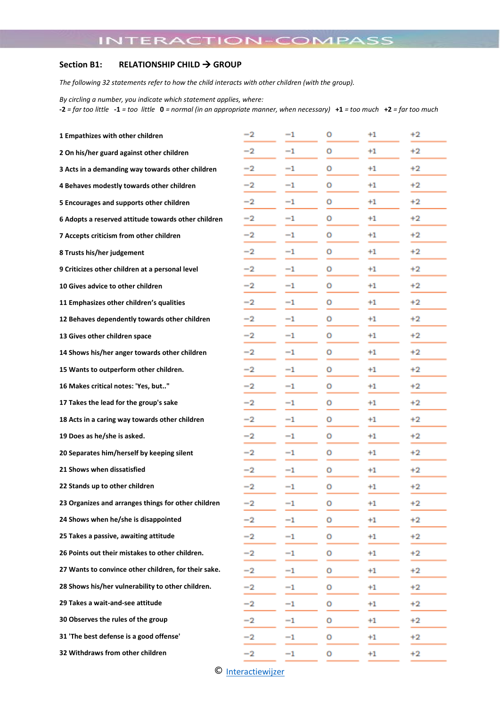# **Section B1: RELATIONSHIP CHILD** → **GROUP**

*The following 32 statements refer to how the child interacts with other children (with the group).*

*By circling a number, you indicate which statement applies, where:* 

**-2** *= far too little* **-1** *= too little* **0** *= normal (in an appropriate manner, when necessary)* **+1** *= too much* **+2** *= far too much*

| 1 Empathizes with other children                     | -2      | $^{-1}$          | o | $+1$             | $+2$    |
|------------------------------------------------------|---------|------------------|---|------------------|---------|
| 2 On his/her guard against other children            | -2      | $^{-1}$          | о | $+1$             | $+2$    |
| 3 Acts in a demanding way towards other children     | -2      | $^{\rm -1}$      | о | $+1$             | $+2$    |
| 4 Behaves modestly towards other children            | -2      | $^{-1}$          | о | $^{+1}$          | $+2$    |
| 5 Encourages and supports other children             | -2      | $^{-1}$          | о | $^{\mathrm{+1}}$ | $+2$    |
| 6 Adopts a reserved attitude towards other children  | $^{-2}$ | $^{-1}$          | o | $+1$             | $+2$    |
| 7 Accepts criticism from other children              | -2      | $^{\rm -1}$      | о | $^{\mathrm{+1}}$ | $+2$    |
| 8 Trusts his/her judgement                           | -2      | $^{\mathrm{-1}}$ | о | $^{+1}$          | $+2$    |
| 9 Criticizes other children at a personal level      | -2      | $^{-1}$          | о | $+1$             | $+2$    |
| 10 Gives advice to other children                    | -2      | $^{-1}$          | о | $+1$             | $+2$    |
| 11 Emphasizes other children's qualities             | -2      | $^{\rm -1}$      | о | $^{+1}$          | $+2$    |
| 12 Behaves dependently towards other children        | -2      | $^{\rm -1}$      | o | $+1$             | $+2$    |
| 13 Gives other children space                        | -2      | $^{-1}$          | о | $^{\mathrm{+1}}$ | $+2$    |
| 14 Shows his/her anger towards other children        | -2      | $^{\rm -1}$      | о | $^{\mathrm{+1}}$ | $+2$    |
| 15 Wants to outperform other children.               | -2      | $^{-1}$          | о | $+1$             | $+2$    |
| 16 Makes critical notes: 'Yes, but"                  | -2      | $^{-1}$          | о | $^{\mathrm{+1}}$ | $+2$    |
| 17 Takes the lead for the group's sake               | -2      | $^{\rm -1}$      | о | $^{+1}$          | $+2$    |
| 18 Acts in a caring way towards other children       | $^{-2}$ | $^{-1}$          | o | $+1$             | $+2$    |
| 19 Does as he/she is asked.                          | -2      | -1               | о | $^{\mathrm{+1}}$ | $+2$    |
| 20 Separates him/herself by keeping silent           | -2      | -1               | о | $^{\mathrm{+1}}$ | $+2$    |
| 21 Shows when dissatisfied                           | -2      | $^{-1}$          | о | $+1$             | $+2$    |
| 22 Stands up to other children                       | -2      | $^{\rm -1}$      | о | $^{\mathrm{+1}}$ | $^{+2}$ |
| 23 Organizes and arranges things for other children  | $^{-2}$ | $^{-1}$          | ٥ | $^{+1}$          | $+2$    |
| 24 Shows when he/she is disappointed                 | -2      | $^{-1}$          | о | $+1$             | $+2$    |
| 25 Takes a passive, awaiting attitude                | $^{-2}$ | $^{-1}$          | о | $+1$             | $+2$    |
| 26 Points out their mistakes to other children.      | -2      | -1               | о | $+1$             | $+2$    |
| 27 Wants to convince other children, for their sake. | -2      | -1               | о | $^{+1}$          | $+2$    |
| 28 Shows his/her vulnerability to other children.    | $^{-2}$ | -1               | о | $+1$             | $+2$    |
| 29 Takes a wait-and-see attitude                     | -2      | $^{\rm -1}$      | о | $+1$             | $+2$    |
| 30 Observes the rules of the group                   | -2      | $^{\rm -1}$      | о | $+1$             | $+2$    |
| 31 'The best defense is a good offense'              | -2      | $^{-1}$          | о | $+1$             | $+2$    |
| 32 Withdraws from other children                     | -2      | $^{\rm -1}$      | о | $^{+1}$          | $+2$    |
|                                                      |         |                  |   |                  |         |

© [Interactiewijzer](https://interactiewijzer.nl/)